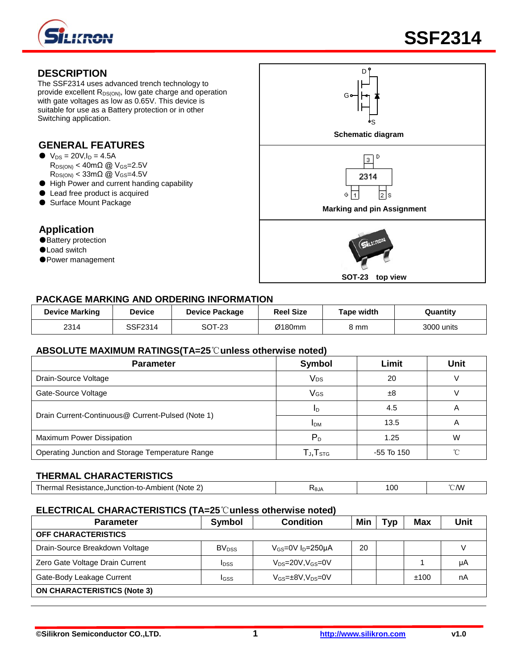

# **DESCRIPTION**

The SSF2314 uses advanced trench technology to provide excellent R<sub>DS(ON)</sub>, low gate charge and operation with gate voltages as low as 0.65V. This device is suitable for use as a Battery protection or in other Switching application.

# **GENERAL FEATURES**

- $\bullet\ \text{V}_{DS} = 20 \text{V}, l_D = 4.5 \text{A}$  $R_{DS(ON)} < 40 \text{m}\Omega$  @  $V_{GS} = 2.5 \text{V}$  $R_{DS(ON)} < 33 \text{m}\Omega$  @ V<sub>GS</sub>=4.5V
- High Power and current handing capability
- Lead free product is acquired
- Surface Mount Package

# **Application**

- ●Battery protection
- ●Load switch
- Power management



# **PACKAGE MARKING AND ORDERING INFORMATION**

| <b>Device Marking</b> | Device  | <b>Device Package</b> | <b>Reel Size</b> | Tape width | Quantity   |
|-----------------------|---------|-----------------------|------------------|------------|------------|
| 2314                  | SSF2314 | SOT-23                | Ø180mm           | კ mm       | 3000 units |

#### **ABSOLUTE MAXIMUM RATINGS(TA=25**℃**unless otherwise noted)**

| <b>Parameter</b>                                  | <b>Symbol</b>                                 | Limit        | Unit |
|---------------------------------------------------|-----------------------------------------------|--------------|------|
| Drain-Source Voltage                              | V <sub>DS</sub>                               | 20           |      |
| Gate-Source Voltage                               | VGS                                           | ±8           |      |
|                                                   | ID                                            | 4.5          | A    |
| Drain Current-Continuous@ Current-Pulsed (Note 1) | <b>IDM</b>                                    | 13.5         | A    |
| Maximum Power Dissipation                         | $P_D$                                         | 1.25         | W    |
| Operating Junction and Storage Temperature Range  | ${\mathsf T}$ j, ${\mathsf T}_{\texttt{STG}}$ | $-55$ To 150 | ົ    |

# **THERMAL CHARACTERISTICS**

| ⊶to-Ambient (Note⊥<br>_<br>⌒<br><b>Resistance.Junction-</b><br>herm<br>mal<br>£ | ∧θJA | <sup>00</sup> | °∩M |
|---------------------------------------------------------------------------------|------|---------------|-----|
|---------------------------------------------------------------------------------|------|---------------|-----|

#### **ELECTRICAL CHARACTERISTICS (TA=25**℃**unless otherwise noted)**

| <b>Parameter</b>                   | Symbol                   | <b>Condition</b>                  | Min | Tvp | <b>Max</b> | <b>Unit</b> |
|------------------------------------|--------------------------|-----------------------------------|-----|-----|------------|-------------|
| <b>OFF CHARACTERISTICS</b>         |                          |                                   |     |     |            |             |
| Drain-Source Breakdown Voltage     | <b>BV</b> <sub>DSS</sub> | $V_{GS}=0V I_D=250\mu A$          | 20  |     |            |             |
| Zero Gate Voltage Drain Current    | <b>I</b> DSS             | $V_{DS} = 20V$ , $V_{GS} = 0V$    |     |     |            | μA          |
| Gate-Body Leakage Current          | IGSS                     | $V_{GS} = \pm 8V$ , $V_{DS} = 0V$ |     |     | ±100       | nA          |
| <b>ON CHARACTERISTICS (Note 3)</b> |                          |                                   |     |     |            |             |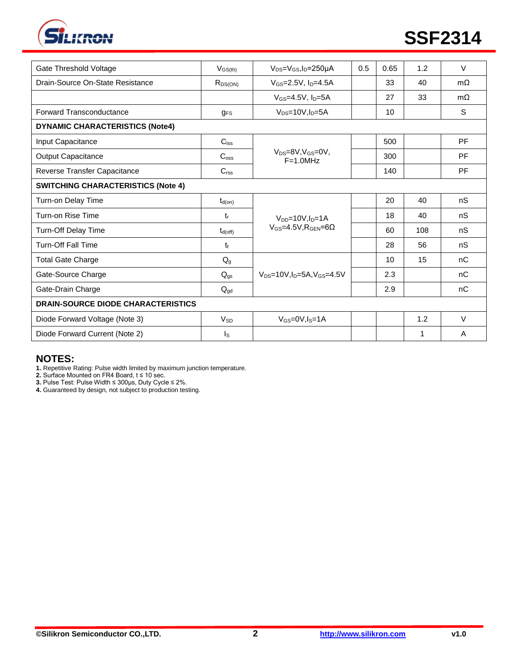

| Gate Threshold Voltage                    | $V_{GS(th)}$        | $V_{DS} = V_{GS}I_D = 250 \mu A$                         | 0.5 | 0.65 | 1.2 | $\vee$    |
|-------------------------------------------|---------------------|----------------------------------------------------------|-----|------|-----|-----------|
| Drain-Source On-State Resistance          | $R_{DS(ON)}$        | $V_{GS} = 2.5V$ , $I_D = 4.5A$                           |     | 33   | 40  | $m\Omega$ |
|                                           |                     | $V$ <sub>GS</sub> =4.5V, $ID=5A$                         |     | 27   | 33  | $m\Omega$ |
| <b>Forward Transconductance</b>           | $q_{FS}$            | $V_{DS}$ =10V, $I_D$ =5A                                 |     | 10   |     | S         |
| <b>DYNAMIC CHARACTERISTICS (Note4)</b>    |                     |                                                          |     |      |     |           |
| Input Capacitance                         | $C_{\text{lss}}$    |                                                          |     | 500  |     | PF        |
| Output Capacitance                        | $C_{\rm oss}$       | $V_{DS}=8V$ , $V_{GS}=0V$ ,<br>$F=1.0$ MHz               |     | 300  |     | PF        |
| Reverse Transfer Capacitance              | C <sub>rss</sub>    |                                                          |     | 140  |     | PF        |
| <b>SWITCHING CHARACTERISTICS (Note 4)</b> |                     |                                                          |     |      |     |           |
| Turn-on Delay Time                        | $t_{d(on)}$         |                                                          |     | 20   | 40  | nS        |
| Turn-on Rise Time                         | tr                  | $V_{DD} = 10V$ , $I_D = 1A$                              |     | 18   | 40  | nS        |
| <b>Turn-Off Delay Time</b>                | $t_{d(\text{off})}$ | $V$ <sub>GS</sub> =4.5V.R <sub>GEN</sub> =6 $\Omega$     |     | 60   | 108 | nS        |
| <b>Turn-Off Fall Time</b>                 | t                   |                                                          |     | 28   | 56  | nS        |
| <b>Total Gate Charge</b>                  | $Q_g$               |                                                          |     | 10   | 15  | nC        |
| Gate-Source Charge                        | $Q_{gs}$            | $V_{DS}$ =10V, I <sub>D</sub> =5A, V <sub>GS</sub> =4.5V |     | 2.3  |     | nC        |
| Gate-Drain Charge                         | $Q_{gd}$            |                                                          |     | 2.9  |     | nC        |
| DRAIN-SOURCE DIODE CHARACTERISTICS        |                     |                                                          |     |      |     |           |
| Diode Forward Voltage (Note 3)            | $V_{SD}$            | $V_{GS} = 0V$ , $I_S = 1A$                               |     |      | 1.2 | $\vee$    |
| Diode Forward Current (Note 2)            | Is                  |                                                          |     |      | 1   | A         |

# **NOTES:**

**1.** Repetitive Rating: Pulse width limited by maximum junction temperature.

**2.** Surface Mounted on FR4 Board, t ≤ 10 sec.

**3.** Pulse Test: Pulse Width ≤ 300μs, Duty Cycle ≤ 2%.

**4.** Guaranteed by design, not subject to production testing.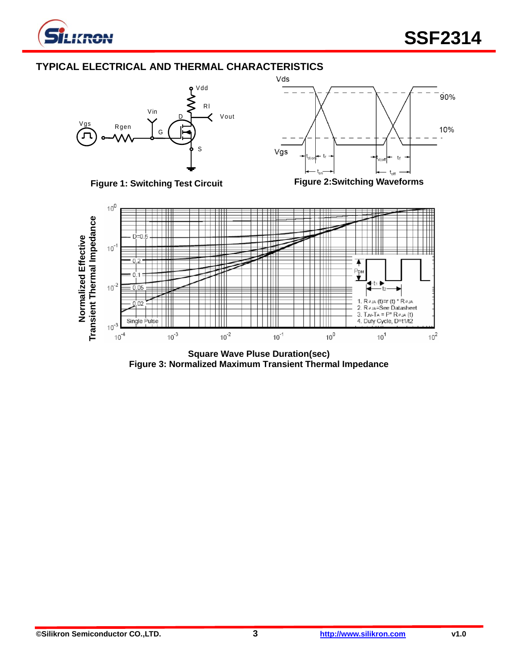

# **TYPICAL ELECTRICAL AND THERMAL CHARACTERISTICS**







**Square Wave Pluse Duration(sec) Figure 3: Normalized Maximum Transient Thermal Impedance**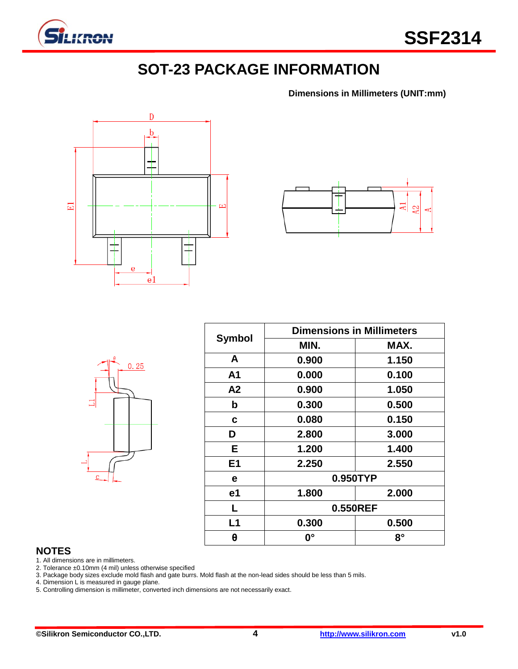

# **SOT-23 PACKAGE INFORMATION**

**Dimensions in Millimeters (UNIT:mm)**





|                | $\theta$ | 0.25 |  |
|----------------|----------|------|--|
|                |          |      |  |
|                |          |      |  |
| $\overline{c}$ |          |      |  |

| <b>Symbol</b>  | <b>Dimensions in Millimeters</b> |           |  |  |  |
|----------------|----------------------------------|-----------|--|--|--|
|                | MIN.                             | MAX.      |  |  |  |
| A              | 0.900                            | 1.150     |  |  |  |
| A1             | 0.000                            | 0.100     |  |  |  |
| A2             | 0.900                            | 1.050     |  |  |  |
| b              | 0.300                            | 0.500     |  |  |  |
| C              | 0.080                            | 0.150     |  |  |  |
| D              | 2.800                            | 3.000     |  |  |  |
| E.             | 1.200                            | 1.400     |  |  |  |
| E <sub>1</sub> | 2.250                            | 2.550     |  |  |  |
| е              | 0.950TYP                         |           |  |  |  |
| e1             | 1.800                            | 2.000     |  |  |  |
| L              | 0.550REF                         |           |  |  |  |
| L1             | 0.300                            | 0.500     |  |  |  |
| θ              | <b>0°</b>                        | $8^\circ$ |  |  |  |

# **NOTES**

1. All dimensions are in millimeters.

2. Tolerance ±0.10mm (4 mil) unless otherwise specified

3. Package body sizes exclude mold flash and gate burrs. Mold flash at the non-lead sides should be less than 5 mils.

4. Dimension L is measured in gauge plane.

5. Controlling dimension is millimeter, converted inch dimensions are not necessarily exact.